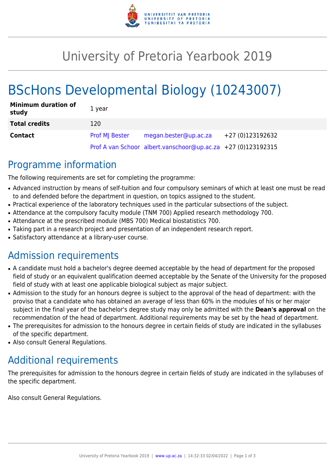

# University of Pretoria Yearbook 2019

# BScHons Developmental Biology (10243007)

| <b>Minimum duration of</b><br>study | 1 year                |                                                              |                  |
|-------------------------------------|-----------------------|--------------------------------------------------------------|------------------|
| <b>Total credits</b>                | 120                   |                                                              |                  |
| <b>Contact</b>                      | <b>Prof MI Bester</b> | megan.bester@up.ac.za                                        | +27 (0)123192632 |
|                                     |                       | Prof A van Schoor albert.vanschoor@up.ac.za +27 (0)123192315 |                  |

## Programme information

The following requirements are set for completing the programme:

- Advanced instruction by means of self-tuition and four compulsory seminars of which at least one must be read to and defended before the department in question, on topics assigned to the student.
- Practical experience of the laboratory techniques used in the particular subsections of the subject.
- Attendance at the compulsory faculty module (TNM 700) Applied research methodology 700.
- Attendance at the prescribed module (MBS 700) Medical biostatistics 700.
- Taking part in a research project and presentation of an independent research report.
- Satisfactory attendance at a library-user course.

## Admission requirements

- A candidate must hold a bachelor's degree deemed acceptable by the head of department for the proposed field of study or an equivalent qualification deemed acceptable by the Senate of the University for the proposed field of study with at least one applicable biological subject as major subject.
- Admission to the study for an honours degree is subject to the approval of the head of department: with the proviso that a candidate who has obtained an average of less than 60% in the modules of his or her major subject in the final year of the bachelor's degree study may only be admitted with the **Dean's approval** on the recommendation of the head of department. Additional requirements may be set by the head of department.
- The prerequisites for admission to the honours degree in certain fields of study are indicated in the syllabuses of the specific department.
- Also consult General Regulations.

# Additional requirements

The prerequisites for admission to the honours degree in certain fields of study are indicated in the syllabuses of the specific department.

Also consult General Regulations.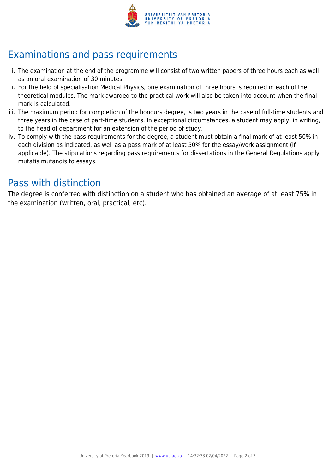

# Examinations and pass requirements

- i. The examination at the end of the programme will consist of two written papers of three hours each as well as an oral examination of 30 minutes.
- ii. For the field of specialisation Medical Physics, one examination of three hours is required in each of the theoretical modules. The mark awarded to the practical work will also be taken into account when the final mark is calculated.
- iii. The maximum period for completion of the honours degree, is two years in the case of full-time students and three years in the case of part-time students. In exceptional circumstances, a student may apply, in writing, to the head of department for an extension of the period of study.
- iv. To comply with the pass requirements for the degree, a student must obtain a final mark of at least 50% in each division as indicated, as well as a pass mark of at least 50% for the essay/work assignment (if applicable). The stipulations regarding pass requirements for dissertations in the General Regulations apply mutatis mutandis to essays.

## Pass with distinction

The degree is conferred with distinction on a student who has obtained an average of at least 75% in the examination (written, oral, practical, etc).